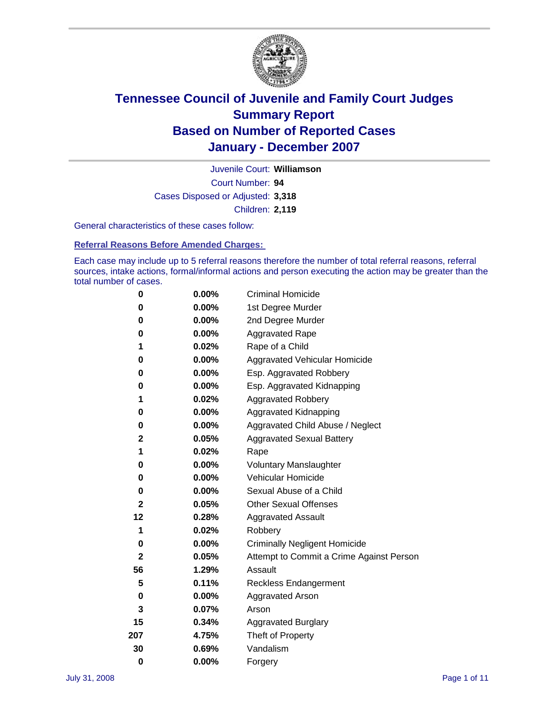

Court Number: **94** Juvenile Court: **Williamson** Cases Disposed or Adjusted: **3,318** Children: **2,119**

General characteristics of these cases follow:

**Referral Reasons Before Amended Charges:** 

Each case may include up to 5 referral reasons therefore the number of total referral reasons, referral sources, intake actions, formal/informal actions and person executing the action may be greater than the total number of cases.

| 0            | $0.00\%$ | <b>Criminal Homicide</b>                 |  |  |  |
|--------------|----------|------------------------------------------|--|--|--|
| 0            | 0.00%    | 1st Degree Murder                        |  |  |  |
| 0            | $0.00\%$ | 2nd Degree Murder                        |  |  |  |
| 0            | 0.00%    | <b>Aggravated Rape</b>                   |  |  |  |
| 1            | 0.02%    | Rape of a Child                          |  |  |  |
| 0            | 0.00%    | Aggravated Vehicular Homicide            |  |  |  |
| 0            | 0.00%    | Esp. Aggravated Robbery                  |  |  |  |
| 0            | $0.00\%$ | Esp. Aggravated Kidnapping               |  |  |  |
| 1            | 0.02%    | <b>Aggravated Robbery</b>                |  |  |  |
| 0            | $0.00\%$ | Aggravated Kidnapping                    |  |  |  |
| 0            | $0.00\%$ | Aggravated Child Abuse / Neglect         |  |  |  |
| $\mathbf{2}$ | 0.05%    | <b>Aggravated Sexual Battery</b>         |  |  |  |
| 1            | 0.02%    | Rape                                     |  |  |  |
| 0            | $0.00\%$ | <b>Voluntary Manslaughter</b>            |  |  |  |
| 0            | 0.00%    | Vehicular Homicide                       |  |  |  |
| 0            | 0.00%    | Sexual Abuse of a Child                  |  |  |  |
| $\mathbf{2}$ | 0.05%    | <b>Other Sexual Offenses</b>             |  |  |  |
| 12           | 0.28%    | <b>Aggravated Assault</b>                |  |  |  |
| 1            | 0.02%    | Robbery                                  |  |  |  |
| 0            | 0.00%    | <b>Criminally Negligent Homicide</b>     |  |  |  |
| $\mathbf{2}$ | 0.05%    | Attempt to Commit a Crime Against Person |  |  |  |
| 56           | 1.29%    | Assault                                  |  |  |  |
| 5            | 0.11%    | <b>Reckless Endangerment</b>             |  |  |  |
| 0            | 0.00%    | <b>Aggravated Arson</b>                  |  |  |  |
| 3            | 0.07%    | Arson                                    |  |  |  |
| 15           | 0.34%    | Aggravated Burglary                      |  |  |  |
| 207          | 4.75%    | Theft of Property                        |  |  |  |
| 30           | 0.69%    | Vandalism                                |  |  |  |
| $\bf{0}$     | 0.00%    | Forgery                                  |  |  |  |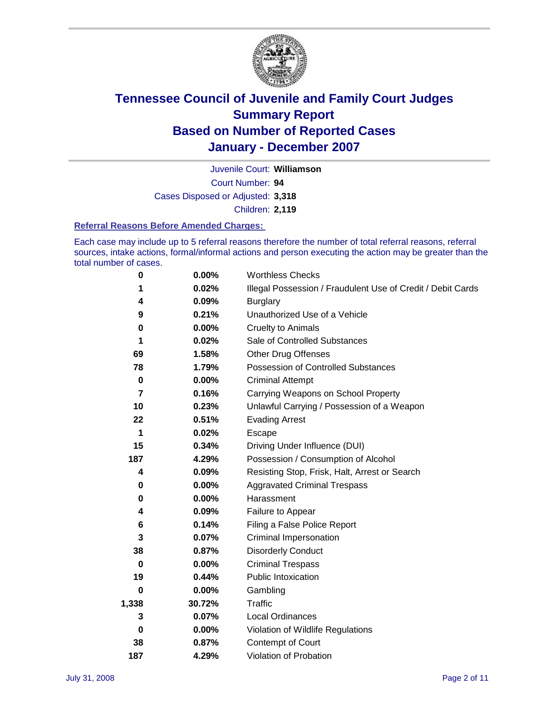

Court Number: **94** Juvenile Court: **Williamson** Cases Disposed or Adjusted: **3,318** Children: **2,119**

#### **Referral Reasons Before Amended Charges:**

Each case may include up to 5 referral reasons therefore the number of total referral reasons, referral sources, intake actions, formal/informal actions and person executing the action may be greater than the total number of cases.

| 0        | 0.00%  | <b>Worthless Checks</b>                                     |
|----------|--------|-------------------------------------------------------------|
| 1        | 0.02%  | Illegal Possession / Fraudulent Use of Credit / Debit Cards |
| 4        | 0.09%  | <b>Burglary</b>                                             |
| 9        | 0.21%  | Unauthorized Use of a Vehicle                               |
| 0        | 0.00%  | <b>Cruelty to Animals</b>                                   |
| 1        | 0.02%  | Sale of Controlled Substances                               |
| 69       | 1.58%  | <b>Other Drug Offenses</b>                                  |
| 78       | 1.79%  | Possession of Controlled Substances                         |
| $\bf{0}$ | 0.00%  | <b>Criminal Attempt</b>                                     |
| 7        | 0.16%  | Carrying Weapons on School Property                         |
| 10       | 0.23%  | Unlawful Carrying / Possession of a Weapon                  |
| 22       | 0.51%  | <b>Evading Arrest</b>                                       |
| 1        | 0.02%  | Escape                                                      |
| 15       | 0.34%  | Driving Under Influence (DUI)                               |
| 187      | 4.29%  | Possession / Consumption of Alcohol                         |
| 4        | 0.09%  | Resisting Stop, Frisk, Halt, Arrest or Search               |
| 0        | 0.00%  | <b>Aggravated Criminal Trespass</b>                         |
| 0        | 0.00%  | Harassment                                                  |
| 4        | 0.09%  | Failure to Appear                                           |
| 6        | 0.14%  | Filing a False Police Report                                |
| 3        | 0.07%  | Criminal Impersonation                                      |
| 38       | 0.87%  | <b>Disorderly Conduct</b>                                   |
| 0        | 0.00%  | <b>Criminal Trespass</b>                                    |
| 19       | 0.44%  | <b>Public Intoxication</b>                                  |
| 0        | 0.00%  | Gambling                                                    |
| 1,338    | 30.72% | Traffic                                                     |
| 3        | 0.07%  | <b>Local Ordinances</b>                                     |
| 0        | 0.00%  | Violation of Wildlife Regulations                           |
| 38       | 0.87%  | Contempt of Court                                           |
| 187      | 4.29%  | Violation of Probation                                      |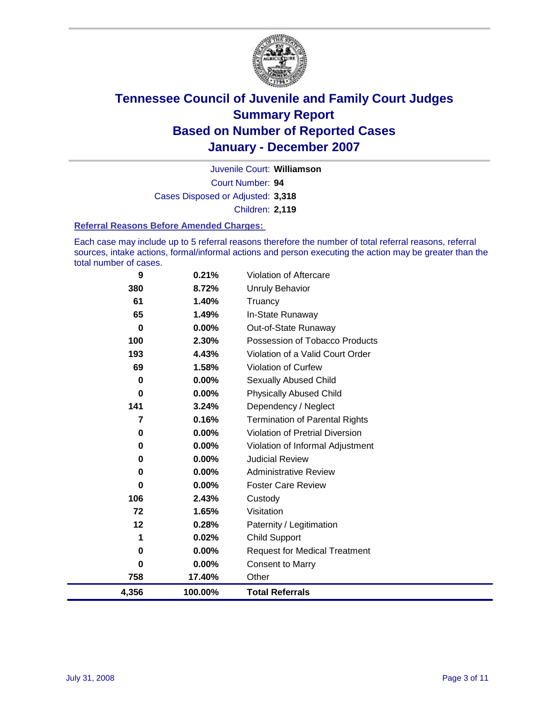

Court Number: **94** Juvenile Court: **Williamson** Cases Disposed or Adjusted: **3,318** Children: **2,119**

#### **Referral Reasons Before Amended Charges:**

Each case may include up to 5 referral reasons therefore the number of total referral reasons, referral sources, intake actions, formal/informal actions and person executing the action may be greater than the total number of cases.

| 9     | 0.21%    | Violation of Aftercare                 |
|-------|----------|----------------------------------------|
| 380   | 8.72%    | Unruly Behavior                        |
| 61    | 1.40%    | Truancy                                |
| 65    | 1.49%    | In-State Runaway                       |
| 0     | 0.00%    | Out-of-State Runaway                   |
| 100   | 2.30%    | Possession of Tobacco Products         |
| 193   | 4.43%    | Violation of a Valid Court Order       |
| 69    | 1.58%    | Violation of Curfew                    |
| 0     | 0.00%    | <b>Sexually Abused Child</b>           |
| 0     | $0.00\%$ | <b>Physically Abused Child</b>         |
| 141   | 3.24%    | Dependency / Neglect                   |
| 7     | 0.16%    | <b>Termination of Parental Rights</b>  |
| 0     | 0.00%    | <b>Violation of Pretrial Diversion</b> |
| 0     | $0.00\%$ | Violation of Informal Adjustment       |
| 0     | 0.00%    | <b>Judicial Review</b>                 |
| 0     | $0.00\%$ | <b>Administrative Review</b>           |
| 0     | $0.00\%$ | <b>Foster Care Review</b>              |
| 106   | 2.43%    | Custody                                |
| 72    | 1.65%    | Visitation                             |
| 12    | 0.28%    | Paternity / Legitimation               |
| 1     | 0.02%    | <b>Child Support</b>                   |
| 0     | $0.00\%$ | <b>Request for Medical Treatment</b>   |
| 0     | 0.00%    | <b>Consent to Marry</b>                |
| 758   | 17.40%   | Other                                  |
| 4,356 | 100.00%  | <b>Total Referrals</b>                 |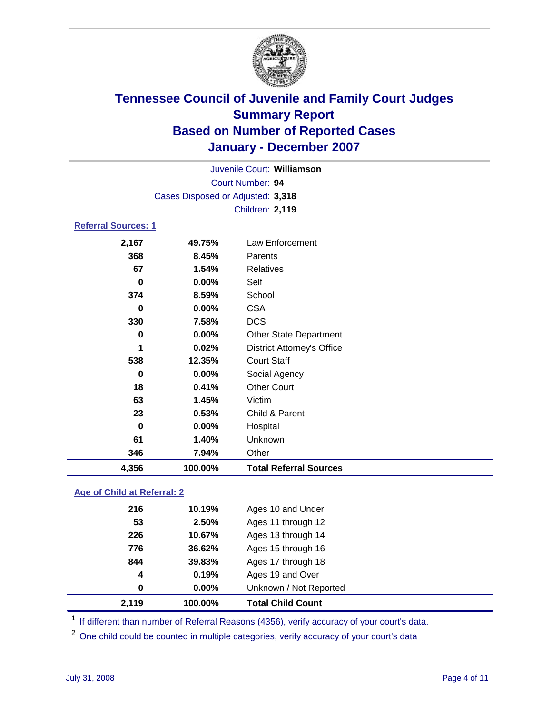

Court Number: **94** Juvenile Court: **Williamson** Cases Disposed or Adjusted: **3,318** Children: **2,119**

### **Referral Sources: 1**

| 23<br>0<br>61<br>346 | 0.53%<br>0.00%<br>1.40%<br>7.94% | Victim<br>Child & Parent<br>Hospital<br>Unknown<br>Other |
|----------------------|----------------------------------|----------------------------------------------------------|
|                      |                                  |                                                          |
|                      |                                  |                                                          |
|                      |                                  |                                                          |
|                      |                                  |                                                          |
| 63                   | 1.45%                            |                                                          |
| 18                   | 0.41%                            | <b>Other Court</b>                                       |
| 0                    | 0.00%                            | Social Agency                                            |
| 538                  | 12.35%                           | <b>Court Staff</b>                                       |
| 1                    | 0.02%                            | <b>District Attorney's Office</b>                        |
| 0                    | 0.00%                            | <b>Other State Department</b>                            |
| 330                  | 7.58%                            | <b>DCS</b>                                               |
| 0                    | $0.00\%$                         | <b>CSA</b>                                               |
| 374                  | 8.59%                            | School                                                   |
| 0                    | 0.00%                            | Self                                                     |
| 67                   | 1.54%                            | <b>Relatives</b>                                         |
| 368                  | 8.45%                            | Parents                                                  |
| 2,167                | 49.75%                           | Law Enforcement                                          |
|                      |                                  |                                                          |

#### **Age of Child at Referral: 2**

| 2,119 | 100.00% | <b>Total Child Count</b> |  |
|-------|---------|--------------------------|--|
| 0     | 0.00%   | Unknown / Not Reported   |  |
| 4     | 0.19%   | Ages 19 and Over         |  |
| 844   | 39.83%  | Ages 17 through 18       |  |
| 776   | 36.62%  | Ages 15 through 16       |  |
| 226   | 10.67%  | Ages 13 through 14       |  |
| 53    | 2.50%   | Ages 11 through 12       |  |
| 216   | 10.19%  | Ages 10 and Under        |  |
|       |         |                          |  |

<sup>1</sup> If different than number of Referral Reasons (4356), verify accuracy of your court's data.

<sup>2</sup> One child could be counted in multiple categories, verify accuracy of your court's data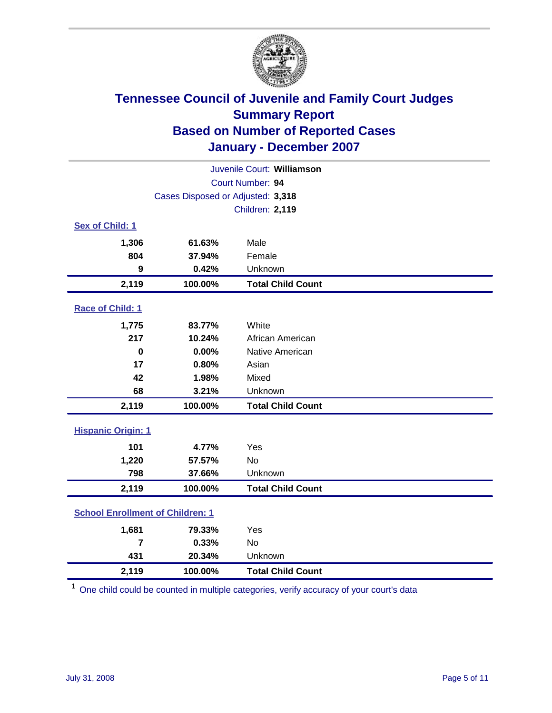

| Juvenile Court: Williamson              |                                   |                          |  |  |
|-----------------------------------------|-----------------------------------|--------------------------|--|--|
| Court Number: 94                        |                                   |                          |  |  |
|                                         | Cases Disposed or Adjusted: 3,318 |                          |  |  |
|                                         |                                   | Children: 2,119          |  |  |
| Sex of Child: 1                         |                                   |                          |  |  |
| 1,306                                   | 61.63%                            | Male                     |  |  |
| 804                                     | 37.94%                            | Female                   |  |  |
| 9                                       | 0.42%                             | Unknown                  |  |  |
| 2,119                                   | 100.00%                           | <b>Total Child Count</b> |  |  |
| Race of Child: 1                        |                                   |                          |  |  |
| 1,775                                   | 83.77%                            | White                    |  |  |
| 217                                     | 10.24%                            | African American         |  |  |
| $\bf{0}$                                | 0.00%                             | Native American          |  |  |
| 17                                      | 0.80%                             | Asian                    |  |  |
| 42                                      | 1.98%                             | Mixed                    |  |  |
| 68                                      | 3.21%                             | Unknown                  |  |  |
| 2,119                                   | 100.00%                           | <b>Total Child Count</b> |  |  |
| <b>Hispanic Origin: 1</b>               |                                   |                          |  |  |
| 101                                     | 4.77%                             | Yes                      |  |  |
| 1,220                                   | 57.57%                            | <b>No</b>                |  |  |
| 798                                     | 37.66%                            | Unknown                  |  |  |
| 2,119                                   | 100.00%                           | <b>Total Child Count</b> |  |  |
| <b>School Enrollment of Children: 1</b> |                                   |                          |  |  |
| 1,681                                   | 79.33%                            | Yes                      |  |  |
| 7                                       | 0.33%                             | No                       |  |  |
| 431                                     | 20.34%                            | Unknown                  |  |  |
| 2,119                                   | 100.00%                           | <b>Total Child Count</b> |  |  |

<sup>1</sup> One child could be counted in multiple categories, verify accuracy of your court's data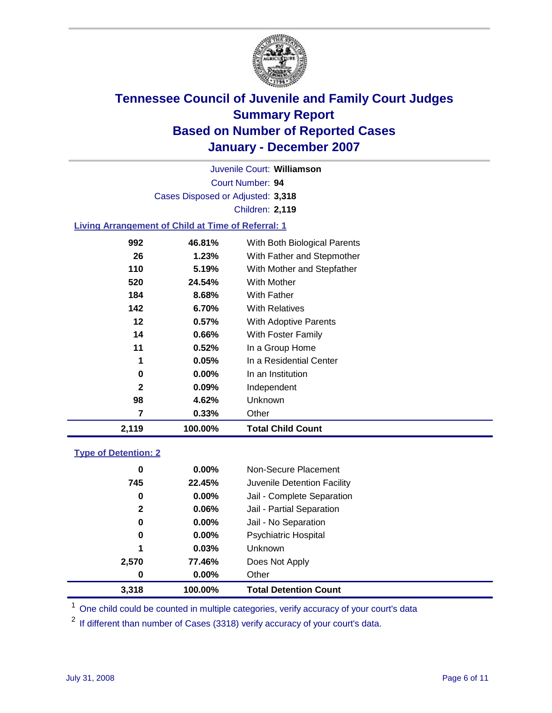

Court Number: **94** Juvenile Court: **Williamson** Cases Disposed or Adjusted: **3,318** Children: **2,119**

### **Living Arrangement of Child at Time of Referral: 1**

| 2,119 | 100.00%  | <b>Total Child Count</b>     |
|-------|----------|------------------------------|
| 7     | 0.33%    | Other                        |
| 98    | 4.62%    | Unknown                      |
| 2     | $0.09\%$ | Independent                  |
| 0     | 0.00%    | In an Institution            |
| 1     | 0.05%    | In a Residential Center      |
| 11    | 0.52%    | In a Group Home              |
| 14    | $0.66\%$ | With Foster Family           |
| 12    | 0.57%    | With Adoptive Parents        |
| 142   | 6.70%    | <b>With Relatives</b>        |
| 184   | 8.68%    | <b>With Father</b>           |
| 520   | 24.54%   | With Mother                  |
| 110   | 5.19%    | With Mother and Stepfather   |
| 26    | 1.23%    | With Father and Stepmother   |
| 992   | 46.81%   | With Both Biological Parents |
|       |          |                              |

#### **Type of Detention: 2**

| 3.318        | 100.00%  | <b>Total Detention Count</b> |  |
|--------------|----------|------------------------------|--|
| 0            | 0.00%    | Other                        |  |
| 2,570        | 77.46%   | Does Not Apply               |  |
| 1            | 0.03%    | Unknown                      |  |
| 0            | 0.00%    | <b>Psychiatric Hospital</b>  |  |
| 0            | 0.00%    | Jail - No Separation         |  |
| $\mathbf{2}$ | $0.06\%$ | Jail - Partial Separation    |  |
| 0            | 0.00%    | Jail - Complete Separation   |  |
| 745          | 22.45%   | Juvenile Detention Facility  |  |
| 0            | 0.00%    | Non-Secure Placement         |  |
|              |          |                              |  |

<sup>1</sup> One child could be counted in multiple categories, verify accuracy of your court's data

<sup>2</sup> If different than number of Cases (3318) verify accuracy of your court's data.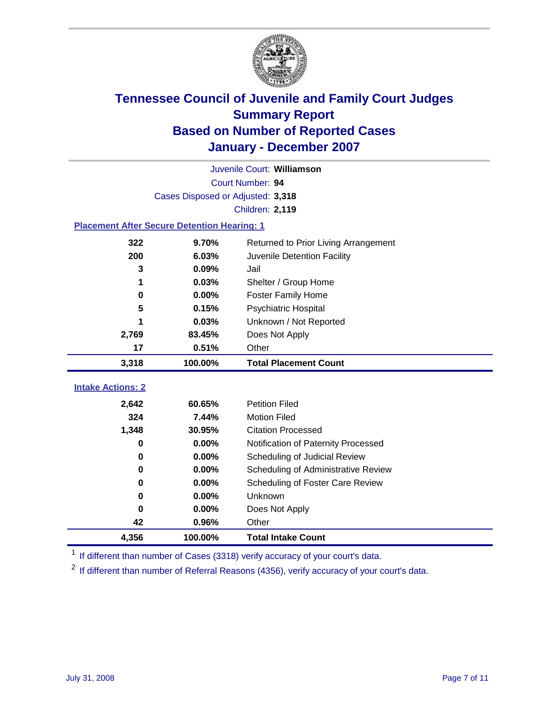

|                                                    | Juvenile Court: Williamson        |                                              |  |  |  |
|----------------------------------------------------|-----------------------------------|----------------------------------------------|--|--|--|
|                                                    | Court Number: 94                  |                                              |  |  |  |
|                                                    | Cases Disposed or Adjusted: 3,318 |                                              |  |  |  |
|                                                    |                                   | <b>Children: 2,119</b>                       |  |  |  |
| <b>Placement After Secure Detention Hearing: 1</b> |                                   |                                              |  |  |  |
| 322                                                | 9.70%                             | Returned to Prior Living Arrangement         |  |  |  |
| 200                                                | 6.03%                             | Juvenile Detention Facility                  |  |  |  |
| 3                                                  | 0.09%                             | Jail                                         |  |  |  |
|                                                    | 0.03%                             | Shelter / Group Home                         |  |  |  |
| 0                                                  | 0.00%                             | Foster Family Home                           |  |  |  |
| 5                                                  | 0.15%                             | Psychiatric Hospital                         |  |  |  |
|                                                    | 0.03%                             | Unknown / Not Reported                       |  |  |  |
| 2,769                                              | 83.45%                            | Does Not Apply                               |  |  |  |
| 17                                                 | 0.51%                             | Other                                        |  |  |  |
| 3,318                                              | 100.00%                           | <b>Total Placement Count</b>                 |  |  |  |
| <b>Intake Actions: 2</b>                           |                                   |                                              |  |  |  |
|                                                    |                                   |                                              |  |  |  |
| 2,642<br>324                                       | 60.65%<br>7.44%                   | <b>Petition Filed</b><br><b>Motion Filed</b> |  |  |  |
|                                                    |                                   |                                              |  |  |  |
| 1,348                                              | 30.95%                            | <b>Citation Processed</b>                    |  |  |  |
| 0                                                  | 0.00%                             | Notification of Paternity Processed          |  |  |  |
| 0                                                  | 0.00%                             | Scheduling of Judicial Review                |  |  |  |
| 0                                                  | 0.00%                             | Scheduling of Administrative Review          |  |  |  |
| $\bf{0}$                                           | 0.00%                             | Scheduling of Foster Care Review             |  |  |  |
| $\bf{0}$                                           | 0.00%                             | Unknown                                      |  |  |  |
| $\bf{0}$                                           | 0.00%                             | Does Not Apply                               |  |  |  |
| 42                                                 | 0.96%                             | Other                                        |  |  |  |
| 4,356                                              | 100.00%                           | <b>Total Intake Count</b>                    |  |  |  |

<sup>1</sup> If different than number of Cases (3318) verify accuracy of your court's data.

<sup>2</sup> If different than number of Referral Reasons (4356), verify accuracy of your court's data.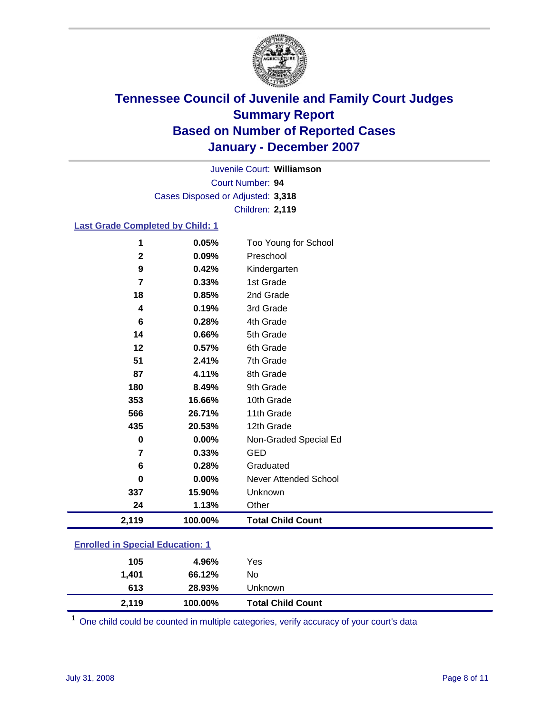

Court Number: **94** Juvenile Court: **Williamson** Cases Disposed or Adjusted: **3,318** Children: **2,119**

#### **Last Grade Completed by Child: 1**

| 2,119                   | 100.00% | <b>Total Child Count</b> |
|-------------------------|---------|--------------------------|
| 24                      | 1.13%   | Other                    |
| 337                     | 15.90%  | Unknown                  |
| $\pmb{0}$               | 0.00%   | Never Attended School    |
| 6                       | 0.28%   | Graduated                |
| 7                       | 0.33%   | <b>GED</b>               |
| $\pmb{0}$               | 0.00%   | Non-Graded Special Ed    |
| 435                     | 20.53%  | 12th Grade               |
| 566                     | 26.71%  | 11th Grade               |
| 353                     | 16.66%  | 10th Grade               |
| 180                     | 8.49%   | 9th Grade                |
| 87                      | 4.11%   | 8th Grade                |
| 51                      | 2.41%   | 7th Grade                |
| 12                      | 0.57%   | 6th Grade                |
| 14                      | 0.66%   | 5th Grade                |
| 6                       | 0.28%   | 4th Grade                |
| 4                       | 0.19%   | 3rd Grade                |
| 18                      | 0.85%   | 2nd Grade                |
| $\overline{7}$          | 0.33%   | 1st Grade                |
| 9                       | 0.42%   | Kindergarten             |
| $\overline{\mathbf{2}}$ | 0.09%   | Preschool                |
| 1                       | 0.05%   | Too Young for School     |

### **Enrolled in Special Education: 1**

| 1,401 | 66.12%  | No                       |
|-------|---------|--------------------------|
| 613   | 28.93%  | Unknown                  |
| 2,119 | 100.00% | <b>Total Child Count</b> |

One child could be counted in multiple categories, verify accuracy of your court's data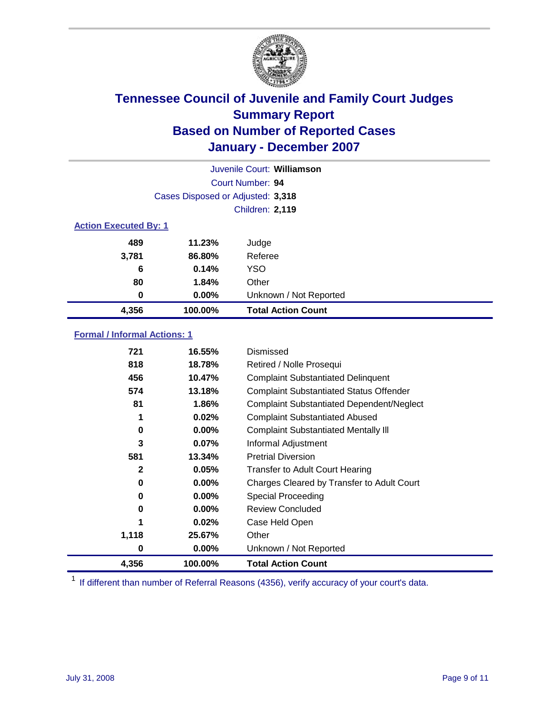

| Juvenile Court: Williamson   |                                   |                           |  |
|------------------------------|-----------------------------------|---------------------------|--|
| Court Number: 94             |                                   |                           |  |
|                              | Cases Disposed or Adjusted: 3,318 |                           |  |
|                              | <b>Children: 2,119</b>            |                           |  |
| <b>Action Executed By: 1</b> |                                   |                           |  |
| 489                          | 11.23%                            | Judge                     |  |
| 3,781                        | 86.80%                            | Referee                   |  |
| 6                            | 0.14%                             | <b>YSO</b>                |  |
| 80                           | 1.84%                             | Other                     |  |
| 0                            | $0.00\%$                          | Unknown / Not Reported    |  |
| 4,356                        | 100.00%                           | <b>Total Action Count</b> |  |

### **Formal / Informal Actions: 1**

| 721          | 16.55%   | Dismissed                                        |
|--------------|----------|--------------------------------------------------|
| 818          | 18.78%   | Retired / Nolle Prosequi                         |
| 456          | 10.47%   | <b>Complaint Substantiated Delinquent</b>        |
| 574          | 13.18%   | <b>Complaint Substantiated Status Offender</b>   |
| 81           | 1.86%    | <b>Complaint Substantiated Dependent/Neglect</b> |
| 1            | 0.02%    | <b>Complaint Substantiated Abused</b>            |
| 0            | $0.00\%$ | <b>Complaint Substantiated Mentally III</b>      |
| 3            | $0.07\%$ | Informal Adjustment                              |
| 581          | 13.34%   | <b>Pretrial Diversion</b>                        |
| $\mathbf{2}$ | 0.05%    | <b>Transfer to Adult Court Hearing</b>           |
| 0            | $0.00\%$ | Charges Cleared by Transfer to Adult Court       |
| 0            | $0.00\%$ | Special Proceeding                               |
| 0            | $0.00\%$ | <b>Review Concluded</b>                          |
| 1            | 0.02%    | Case Held Open                                   |
| 1,118        | 25.67%   | Other                                            |
| 0            | 0.00%    | Unknown / Not Reported                           |
| 4,356        | 100.00%  | <b>Total Action Count</b>                        |

<sup>1</sup> If different than number of Referral Reasons (4356), verify accuracy of your court's data.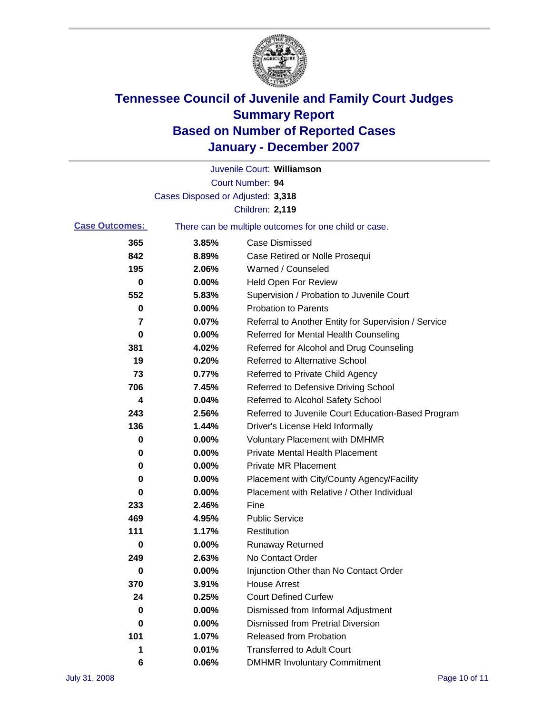

|                       |                                   | Juvenile Court: Williamson                            |
|-----------------------|-----------------------------------|-------------------------------------------------------|
|                       |                                   | Court Number: 94                                      |
|                       | Cases Disposed or Adjusted: 3,318 |                                                       |
|                       |                                   | <b>Children: 2,119</b>                                |
| <b>Case Outcomes:</b> |                                   | There can be multiple outcomes for one child or case. |
| 365                   | 3.85%                             | <b>Case Dismissed</b>                                 |
| 842                   | 8.89%                             | Case Retired or Nolle Prosequi                        |
| 195                   | 2.06%                             | Warned / Counseled                                    |
| 0                     | 0.00%                             | <b>Held Open For Review</b>                           |
| 552                   | 5.83%                             | Supervision / Probation to Juvenile Court             |
| 0                     | 0.00%                             | <b>Probation to Parents</b>                           |
| 7                     | 0.07%                             | Referral to Another Entity for Supervision / Service  |
| 0                     | 0.00%                             | Referred for Mental Health Counseling                 |
| 381                   | 4.02%                             | Referred for Alcohol and Drug Counseling              |
| 19                    | 0.20%                             | <b>Referred to Alternative School</b>                 |
| 73                    | 0.77%                             | Referred to Private Child Agency                      |
| 706                   | 7.45%                             | Referred to Defensive Driving School                  |
| 4                     | 0.04%                             | Referred to Alcohol Safety School                     |
| 243                   | 2.56%                             | Referred to Juvenile Court Education-Based Program    |
| 136                   | 1.44%                             | Driver's License Held Informally                      |
| 0                     | 0.00%                             | <b>Voluntary Placement with DMHMR</b>                 |
| 0                     | 0.00%                             | <b>Private Mental Health Placement</b>                |
| 0                     | 0.00%                             | <b>Private MR Placement</b>                           |
| 0                     | 0.00%                             | Placement with City/County Agency/Facility            |
| 0                     | 0.00%                             | Placement with Relative / Other Individual            |
| 233                   | 2.46%                             | Fine                                                  |
| 469                   | 4.95%                             | <b>Public Service</b>                                 |
| 111                   | 1.17%                             | Restitution                                           |
| 0                     | 0.00%                             | <b>Runaway Returned</b>                               |
| 249                   | 2.63%                             | No Contact Order                                      |
| 0                     | 0.00%                             | Injunction Other than No Contact Order                |
| 370                   | 3.91%                             | <b>House Arrest</b>                                   |
| 24                    | 0.25%                             | <b>Court Defined Curfew</b>                           |
| 0                     | 0.00%                             | Dismissed from Informal Adjustment                    |
| 0                     | 0.00%                             | <b>Dismissed from Pretrial Diversion</b>              |
| 101                   | 1.07%                             | <b>Released from Probation</b>                        |
| 1                     | 0.01%                             | <b>Transferred to Adult Court</b>                     |
| 6                     | 0.06%                             | <b>DMHMR Involuntary Commitment</b>                   |